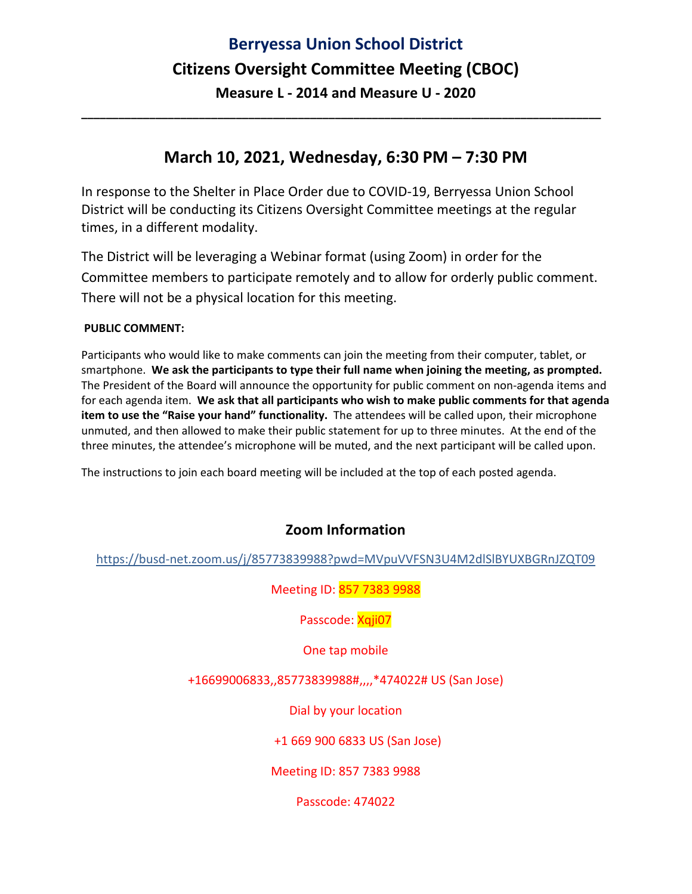# **Berryessa Union School District Citizens Oversight Committee Meeting (CBOC) Measure L ‐ 2014 and Measure U ‐ 2020**

### **March 10, 2021, Wednesday, 6:30 PM – 7:30 PM**

**\_\_\_\_\_\_\_\_\_\_\_\_\_\_\_\_\_\_\_\_\_\_\_\_\_\_\_\_\_\_\_\_\_\_\_\_\_\_\_\_\_\_\_\_\_\_\_\_\_\_\_\_\_\_\_\_\_\_\_\_\_\_\_\_\_\_\_\_\_\_\_\_\_\_\_\_\_\_\_\_\_\_\_\_** 

In response to the Shelter in Place Order due to COVID‐19, Berryessa Union School District will be conducting its Citizens Oversight Committee meetings at the regular times, in a different modality.

The District will be leveraging a Webinar format (using Zoom) in order for the Committee members to participate remotely and to allow for orderly public comment. There will not be a physical location for this meeting.

#### **PUBLIC COMMENT:**

Participants who would like to make comments can join the meeting from their computer, tablet, or smartphone. **We ask the participants to type their full name when joining the meeting, as prompted.** The President of the Board will announce the opportunity for public comment on non‐agenda items and for each agenda item. **We ask that all participants who wish to make public comments for that agenda item to use the "Raise your hand" functionality.** The attendees will be called upon, their microphone unmuted, and then allowed to make their public statement for up to three minutes. At the end of the three minutes, the attendee's microphone will be muted, and the next participant will be called upon.

The instructions to join each board meeting will be included at the top of each posted agenda.

### **Zoom Information**

https://busd‐net.zoom.us/j/85773839988?pwd=MVpuVVFSN3U4M2dlSlBYUXBGRnJZQT09

Meeting ID: 857 7383 9988

Passcode: Xqji07

One tap mobile

+16699006833,,85773839988#,,,,\*474022# US (San Jose)

Dial by your location

+1 669 900 6833 US (San Jose)

Meeting ID: 857 7383 9988

Passcode: 474022